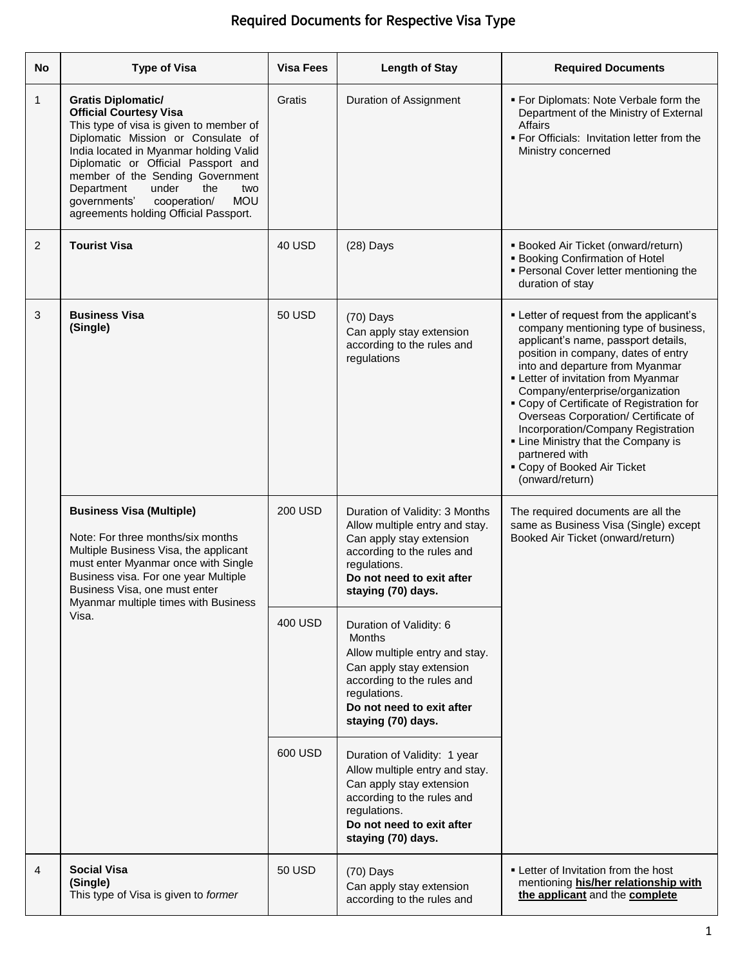| <b>No</b> | <b>Type of Visa</b>                                                                                                                                                                                                                                                                                                                                                                          | <b>Visa Fees</b> | <b>Length of Stay</b>                                                                                                                                                                                   | <b>Required Documents</b>                                                                                                                                                                                                                                                                                                                                                                                                                                                                                         |
|-----------|----------------------------------------------------------------------------------------------------------------------------------------------------------------------------------------------------------------------------------------------------------------------------------------------------------------------------------------------------------------------------------------------|------------------|---------------------------------------------------------------------------------------------------------------------------------------------------------------------------------------------------------|-------------------------------------------------------------------------------------------------------------------------------------------------------------------------------------------------------------------------------------------------------------------------------------------------------------------------------------------------------------------------------------------------------------------------------------------------------------------------------------------------------------------|
| 1         | <b>Gratis Diplomatic/</b><br><b>Official Courtesy Visa</b><br>This type of visa is given to member of<br>Diplomatic Mission or Consulate of<br>India located in Myanmar holding Valid<br>Diplomatic or Official Passport and<br>member of the Sending Government<br>Department<br>under<br>the<br>two<br><b>MOU</b><br>governments'<br>cooperation/<br>agreements holding Official Passport. | Gratis           | Duration of Assignment                                                                                                                                                                                  | • For Diplomats: Note Verbale form the<br>Department of the Ministry of External<br><b>Affairs</b><br>. For Officials: Invitation letter from the<br>Ministry concerned                                                                                                                                                                                                                                                                                                                                           |
| 2         | <b>Tourist Visa</b>                                                                                                                                                                                                                                                                                                                                                                          | <b>40 USD</b>    | $(28)$ Days                                                                                                                                                                                             | <b>Booked Air Ticket (onward/return)</b><br><b>Booking Confirmation of Hotel</b><br>• Personal Cover letter mentioning the<br>duration of stay                                                                                                                                                                                                                                                                                                                                                                    |
| 3         | <b>Business Visa</b><br>(Single)                                                                                                                                                                                                                                                                                                                                                             | <b>50 USD</b>    | $(70)$ Days<br>Can apply stay extension<br>according to the rules and<br>regulations                                                                                                                    | • Letter of request from the applicant's<br>company mentioning type of business,<br>applicant's name, passport details,<br>position in company, dates of entry<br>into and departure from Myanmar<br>- Letter of invitation from Myanmar<br>Company/enterprise/organization<br>• Copy of Certificate of Registration for<br>Overseas Corporation/ Certificate of<br>Incorporation/Company Registration<br>• Line Ministry that the Company is<br>partnered with<br>• Copy of Booked Air Ticket<br>(onward/return) |
|           | <b>Business Visa (Multiple)</b><br>Note: For three months/six months<br>Multiple Business Visa, the applicant<br>must enter Myanmar once with Single<br>Business visa. For one year Multiple<br>Business Visa, one must enter<br>Myanmar multiple times with Business<br>Visa.                                                                                                               | <b>200 USD</b>   | Duration of Validity: 3 Months<br>Allow multiple entry and stay.<br>Can apply stay extension<br>according to the rules and<br>regulations.<br>Do not need to exit after<br>staying (70) days.           | The required documents are all the<br>same as Business Visa (Single) except<br>Booked Air Ticket (onward/return)                                                                                                                                                                                                                                                                                                                                                                                                  |
|           |                                                                                                                                                                                                                                                                                                                                                                                              | 400 USD          | Duration of Validity: 6<br><b>Months</b><br>Allow multiple entry and stay.<br>Can apply stay extension<br>according to the rules and<br>regulations.<br>Do not need to exit after<br>staying (70) days. |                                                                                                                                                                                                                                                                                                                                                                                                                                                                                                                   |
|           |                                                                                                                                                                                                                                                                                                                                                                                              | 600 USD          | Duration of Validity: 1 year<br>Allow multiple entry and stay.<br>Can apply stay extension<br>according to the rules and<br>regulations.<br>Do not need to exit after<br>staying (70) days.             |                                                                                                                                                                                                                                                                                                                                                                                                                                                                                                                   |
| 4         | <b>Social Visa</b><br>(Single)<br>This type of Visa is given to former                                                                                                                                                                                                                                                                                                                       | <b>50 USD</b>    | $(70)$ Days<br>Can apply stay extension<br>according to the rules and                                                                                                                                   | • Letter of Invitation from the host<br>mentioning his/her relationship with<br>the applicant and the complete                                                                                                                                                                                                                                                                                                                                                                                                    |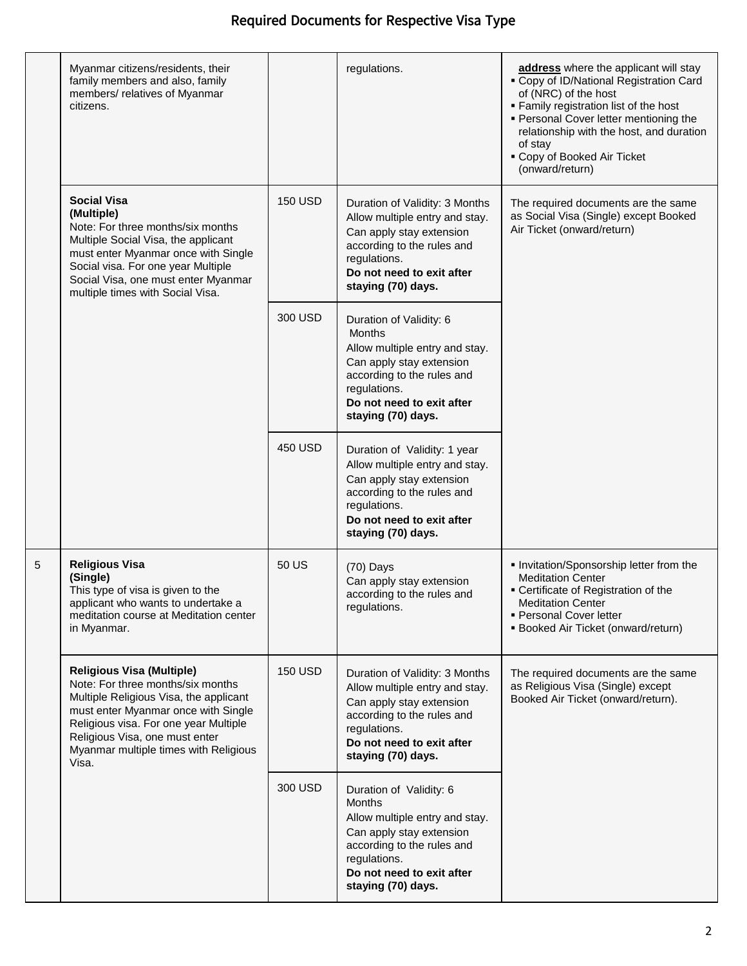|   | Myanmar citizens/residents, their<br>family members and also, family<br>members/ relatives of Myanmar<br>citizens.                                                                                                                                                                  |                | regulations.                                                                                                                                                                                            | address where the applicant will stay<br>• Copy of ID/National Registration Card<br>of (NRC) of the host<br>. Family registration list of the host<br>• Personal Cover letter mentioning the<br>relationship with the host, and duration<br>of stay<br>• Copy of Booked Air Ticket<br>(onward/return) |
|---|-------------------------------------------------------------------------------------------------------------------------------------------------------------------------------------------------------------------------------------------------------------------------------------|----------------|---------------------------------------------------------------------------------------------------------------------------------------------------------------------------------------------------------|-------------------------------------------------------------------------------------------------------------------------------------------------------------------------------------------------------------------------------------------------------------------------------------------------------|
|   | <b>Social Visa</b><br>(Multiple)<br>Note: For three months/six months<br>Multiple Social Visa, the applicant<br>must enter Myanmar once with Single<br>Social visa. For one year Multiple<br>Social Visa, one must enter Myanmar<br>multiple times with Social Visa.                | <b>150 USD</b> | Duration of Validity: 3 Months<br>Allow multiple entry and stay.<br>Can apply stay extension<br>according to the rules and<br>regulations.<br>Do not need to exit after<br>staying (70) days.           | The required documents are the same<br>as Social Visa (Single) except Booked<br>Air Ticket (onward/return)                                                                                                                                                                                            |
|   |                                                                                                                                                                                                                                                                                     | 300 USD        | Duration of Validity: 6<br><b>Months</b><br>Allow multiple entry and stay.<br>Can apply stay extension<br>according to the rules and<br>regulations.<br>Do not need to exit after<br>staying (70) days. |                                                                                                                                                                                                                                                                                                       |
|   |                                                                                                                                                                                                                                                                                     | 450 USD        | Duration of Validity: 1 year<br>Allow multiple entry and stay.<br>Can apply stay extension<br>according to the rules and<br>regulations.<br>Do not need to exit after<br>staying (70) days.             |                                                                                                                                                                                                                                                                                                       |
| 5 | <b>Religious Visa</b><br>(Single)<br>This type of visa is given to the<br>applicant who wants to undertake a<br>meditation course at Meditation center<br>in Myanmar.                                                                                                               | 50 US          | $(70)$ Days<br>Can apply stay extension<br>according to the rules and<br>regulations.                                                                                                                   | . Invitation/Sponsorship letter from the<br><b>Meditation Center</b><br>• Certificate of Registration of the<br><b>Meditation Center</b><br>• Personal Cover letter<br>• Booked Air Ticket (onward/return)                                                                                            |
|   | <b>Religious Visa (Multiple)</b><br>Note: For three months/six months<br>Multiple Religious Visa, the applicant<br>must enter Myanmar once with Single<br>Religious visa. For one year Multiple<br>Religious Visa, one must enter<br>Myanmar multiple times with Religious<br>Visa. | <b>150 USD</b> | Duration of Validity: 3 Months<br>Allow multiple entry and stay.<br>Can apply stay extension<br>according to the rules and<br>regulations.<br>Do not need to exit after<br>staying (70) days.           | The required documents are the same<br>as Religious Visa (Single) except<br>Booked Air Ticket (onward/return).                                                                                                                                                                                        |
|   |                                                                                                                                                                                                                                                                                     | 300 USD        | Duration of Validity: 6<br><b>Months</b><br>Allow multiple entry and stay.<br>Can apply stay extension<br>according to the rules and<br>regulations.<br>Do not need to exit after<br>staying (70) days. |                                                                                                                                                                                                                                                                                                       |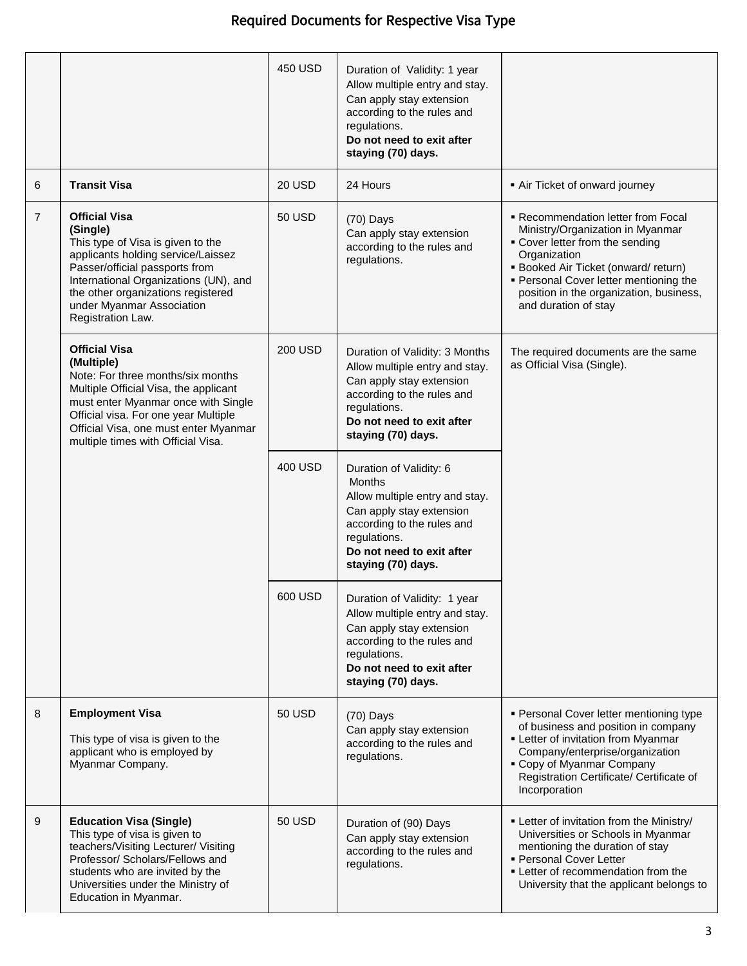|                |                                                                                                                                                                                                                                                                                | 450 USD        | Duration of Validity: 1 year<br>Allow multiple entry and stay.<br>Can apply stay extension<br>according to the rules and<br>regulations.<br>Do not need to exit after<br>staying (70) days.             |                                                                                                                                                                                                                                                                                     |
|----------------|--------------------------------------------------------------------------------------------------------------------------------------------------------------------------------------------------------------------------------------------------------------------------------|----------------|---------------------------------------------------------------------------------------------------------------------------------------------------------------------------------------------------------|-------------------------------------------------------------------------------------------------------------------------------------------------------------------------------------------------------------------------------------------------------------------------------------|
| 6              | <b>Transit Visa</b>                                                                                                                                                                                                                                                            | 20 USD         | 24 Hours                                                                                                                                                                                                | Air Ticket of onward journey                                                                                                                                                                                                                                                        |
| $\overline{7}$ | <b>Official Visa</b><br>(Single)<br>This type of Visa is given to the<br>applicants holding service/Laissez<br>Passer/official passports from<br>International Organizations (UN), and<br>the other organizations registered<br>under Myanmar Association<br>Registration Law. | <b>50 USD</b>  | $(70)$ Days<br>Can apply stay extension<br>according to the rules and<br>regulations.                                                                                                                   | • Recommendation letter from Focal<br>Ministry/Organization in Myanmar<br>• Cover letter from the sending<br>Organization<br><b>Booked Air Ticket (onward/ return)</b><br>• Personal Cover letter mentioning the<br>position in the organization, business,<br>and duration of stay |
|                | <b>Official Visa</b><br>(Multiple)<br>Note: For three months/six months<br>Multiple Official Visa, the applicant<br>must enter Myanmar once with Single<br>Official visa. For one year Multiple<br>Official Visa, one must enter Myanmar<br>multiple times with Official Visa. | <b>200 USD</b> | Duration of Validity: 3 Months<br>Allow multiple entry and stay.<br>Can apply stay extension<br>according to the rules and<br>regulations.<br>Do not need to exit after<br>staying (70) days.           | The required documents are the same<br>as Official Visa (Single).                                                                                                                                                                                                                   |
|                |                                                                                                                                                                                                                                                                                | 400 USD        | Duration of Validity: 6<br><b>Months</b><br>Allow multiple entry and stay.<br>Can apply stay extension<br>according to the rules and<br>regulations.<br>Do not need to exit after<br>staying (70) days. |                                                                                                                                                                                                                                                                                     |
|                |                                                                                                                                                                                                                                                                                | 600 USD        | Duration of Validity: 1 year<br>Allow multiple entry and stay.<br>Can apply stay extension<br>according to the rules and<br>regulations.<br>Do not need to exit after<br>staying (70) days.             |                                                                                                                                                                                                                                                                                     |
| 8              | <b>Employment Visa</b><br>This type of visa is given to the<br>applicant who is employed by<br>Myanmar Company.                                                                                                                                                                | <b>50 USD</b>  | $(70)$ Days<br>Can apply stay extension<br>according to the rules and<br>regulations.                                                                                                                   | • Personal Cover letter mentioning type<br>of business and position in company<br>- Letter of invitation from Myanmar<br>Company/enterprise/organization<br>• Copy of Myanmar Company<br>Registration Certificate/ Certificate of<br>Incorporation                                  |
| 9              | <b>Education Visa (Single)</b><br>This type of visa is given to<br>teachers/Visiting Lecturer/ Visiting<br>Professor/ Scholars/Fellows and<br>students who are invited by the<br>Universities under the Ministry of<br>Education in Myanmar.                                   | 50 USD         | Duration of (90) Days<br>Can apply stay extension<br>according to the rules and<br>regulations.                                                                                                         | • Letter of invitation from the Ministry/<br>Universities or Schools in Myanmar<br>mentioning the duration of stay<br>• Personal Cover Letter<br>• Letter of recommendation from the<br>University that the applicant belongs to                                                    |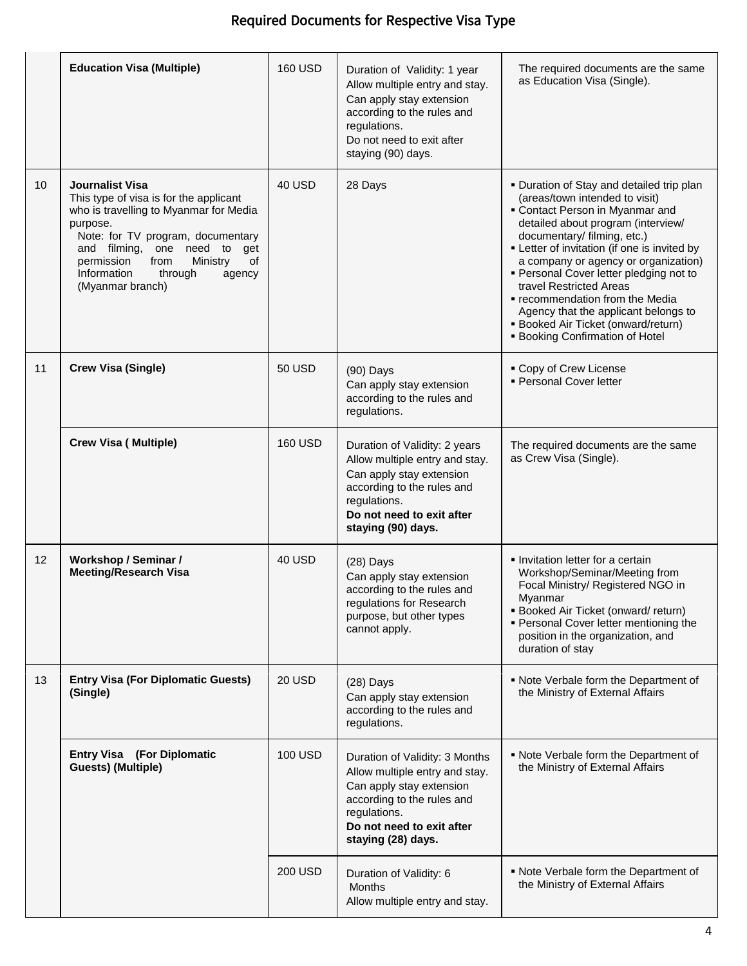|    | <b>Education Visa (Multiple)</b>                                                                                                                                                                                                                                                               | <b>160 USD</b> | Duration of Validity: 1 year<br>Allow multiple entry and stay.<br>Can apply stay extension<br>according to the rules and<br>regulations.<br>Do not need to exit after<br>staying (90) days.   | The required documents are the same<br>as Education Visa (Single).                                                                                                                                                                                                                                                                                                                                                                                                                                               |
|----|------------------------------------------------------------------------------------------------------------------------------------------------------------------------------------------------------------------------------------------------------------------------------------------------|----------------|-----------------------------------------------------------------------------------------------------------------------------------------------------------------------------------------------|------------------------------------------------------------------------------------------------------------------------------------------------------------------------------------------------------------------------------------------------------------------------------------------------------------------------------------------------------------------------------------------------------------------------------------------------------------------------------------------------------------------|
| 10 | <b>Journalist Visa</b><br>This type of visa is for the applicant<br>who is travelling to Myanmar for Media<br>purpose.<br>Note: for TV program, documentary<br>and filming, one need to<br>get<br>of<br>permission<br>Ministry<br>from<br>Information<br>through<br>agency<br>(Myanmar branch) | 40 USD         | 28 Days                                                                                                                                                                                       | . Duration of Stay and detailed trip plan<br>(areas/town intended to visit)<br>• Contact Person in Myanmar and<br>detailed about program (interview/<br>documentary/ filming, etc.)<br>• Letter of invitation (if one is invited by<br>a company or agency or organization)<br>· Personal Cover letter pledging not to<br>travel Restricted Areas<br>" recommendation from the Media<br>Agency that the applicant belongs to<br><b>Booked Air Ticket (onward/return)</b><br><b>Booking Confirmation of Hotel</b> |
| 11 | <b>Crew Visa (Single)</b>                                                                                                                                                                                                                                                                      | 50 USD         | $(90)$ Days<br>Can apply stay extension<br>according to the rules and<br>regulations.                                                                                                         | • Copy of Crew License<br>· Personal Cover letter                                                                                                                                                                                                                                                                                                                                                                                                                                                                |
|    | <b>Crew Visa (Multiple)</b>                                                                                                                                                                                                                                                                    | <b>160 USD</b> | Duration of Validity: 2 years<br>Allow multiple entry and stay.<br>Can apply stay extension<br>according to the rules and<br>regulations.<br>Do not need to exit after<br>staying (90) days.  | The required documents are the same<br>as Crew Visa (Single).                                                                                                                                                                                                                                                                                                                                                                                                                                                    |
| 12 | <b>Workshop / Seminar /</b><br><b>Meeting/Research Visa</b>                                                                                                                                                                                                                                    | 40 USD         | $(28)$ Days<br>Can apply stay extension<br>according to the rules and<br>regulations for Research<br>purpose, but other types<br>cannot apply.                                                | • Invitation letter for a certain<br>Workshop/Seminar/Meeting from<br>Focal Ministry/ Registered NGO in<br>Myanmar<br><b>Booked Air Ticket (onward/return)</b><br>• Personal Cover letter mentioning the<br>position in the organization, and<br>duration of stay                                                                                                                                                                                                                                                |
| 13 | <b>Entry Visa (For Diplomatic Guests)</b><br>(Single)                                                                                                                                                                                                                                          | 20 USD         | $(28)$ Days<br>Can apply stay extension<br>according to the rules and<br>regulations.                                                                                                         | . Note Verbale form the Department of<br>the Ministry of External Affairs                                                                                                                                                                                                                                                                                                                                                                                                                                        |
|    | <b>Entry Visa</b> (For Diplomatic<br><b>Guests) (Multiple)</b>                                                                                                                                                                                                                                 | 100 USD        | Duration of Validity: 3 Months<br>Allow multiple entry and stay.<br>Can apply stay extension<br>according to the rules and<br>regulations.<br>Do not need to exit after<br>staying (28) days. | . Note Verbale form the Department of<br>the Ministry of External Affairs                                                                                                                                                                                                                                                                                                                                                                                                                                        |
|    |                                                                                                                                                                                                                                                                                                | <b>200 USD</b> | Duration of Validity: 6<br>Months<br>Allow multiple entry and stay.                                                                                                                           | . Note Verbale form the Department of<br>the Ministry of External Affairs                                                                                                                                                                                                                                                                                                                                                                                                                                        |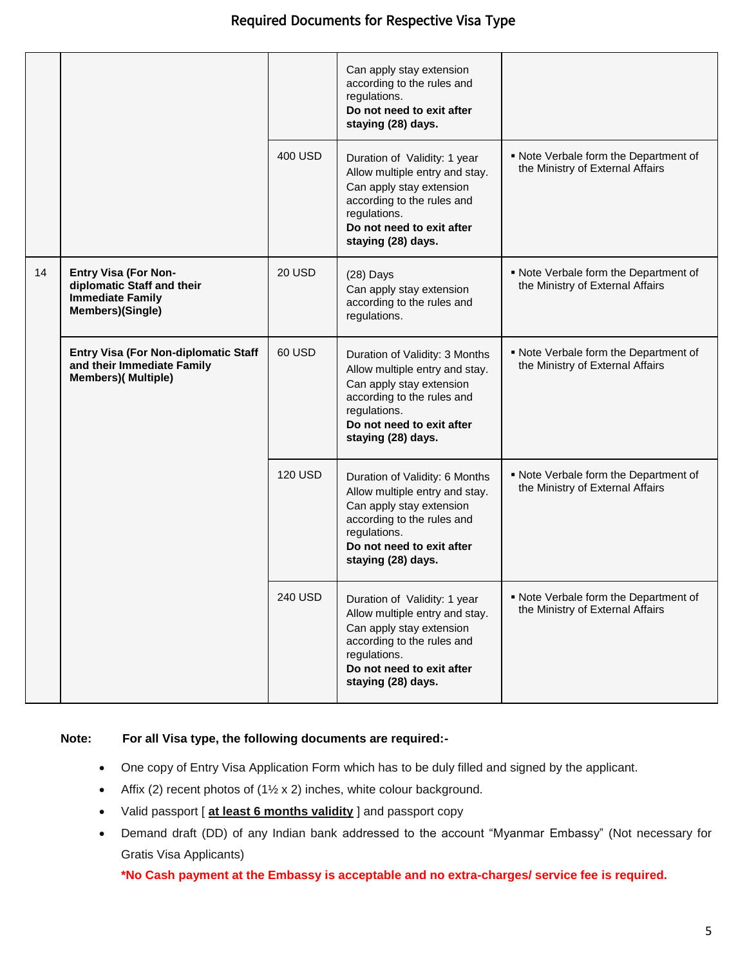|    |                                                                                                          |         | Can apply stay extension<br>according to the rules and<br>regulations.<br>Do not need to exit after<br>staying (28) days.                                                                     |                                                                           |
|----|----------------------------------------------------------------------------------------------------------|---------|-----------------------------------------------------------------------------------------------------------------------------------------------------------------------------------------------|---------------------------------------------------------------------------|
|    |                                                                                                          | 400 USD | Duration of Validity: 1 year<br>Allow multiple entry and stay.<br>Can apply stay extension<br>according to the rules and<br>regulations.<br>Do not need to exit after<br>staying (28) days.   | . Note Verbale form the Department of<br>the Ministry of External Affairs |
| 14 | <b>Entry Visa (For Non-</b><br>diplomatic Staff and their<br><b>Immediate Family</b><br>Members)(Single) | 20 USD  | $(28)$ Days<br>Can apply stay extension<br>according to the rules and<br>regulations.                                                                                                         | . Note Verbale form the Department of<br>the Ministry of External Affairs |
|    | Entry Visa (For Non-diplomatic Staff<br>and their Immediate Family<br><b>Members)( Multiple)</b>         | 60 USD  | Duration of Validity: 3 Months<br>Allow multiple entry and stay.<br>Can apply stay extension<br>according to the rules and<br>regulations.<br>Do not need to exit after<br>staying (28) days. | . Note Verbale form the Department of<br>the Ministry of External Affairs |
|    |                                                                                                          | 120 USD | Duration of Validity: 6 Months<br>Allow multiple entry and stay.<br>Can apply stay extension<br>according to the rules and<br>regulations.<br>Do not need to exit after<br>staying (28) days. | . Note Verbale form the Department of<br>the Ministry of External Affairs |
|    |                                                                                                          | 240 USD | Duration of Validity: 1 year<br>Allow multiple entry and stay.<br>Can apply stay extension<br>according to the rules and<br>regulations.<br>Do not need to exit after<br>staying (28) days.   | . Note Verbale form the Department of<br>the Ministry of External Affairs |

#### **Note: For all Visa type, the following documents are required:-**

- One copy of Entry Visa Application Form which has to be duly filled and signed by the applicant.
- Affix (2) recent photos of  $(1\frac{1}{2} \times 2)$  inches, white colour background.
- Valid passport [ **at least 6 months validity** ] and passport copy
- Demand draft (DD) of any Indian bank addressed to the account "Myanmar Embassy" (Not necessary for Gratis Visa Applicants)

**\*No Cash payment at the Embassy is acceptable and no extra-charges/ service fee is required.**